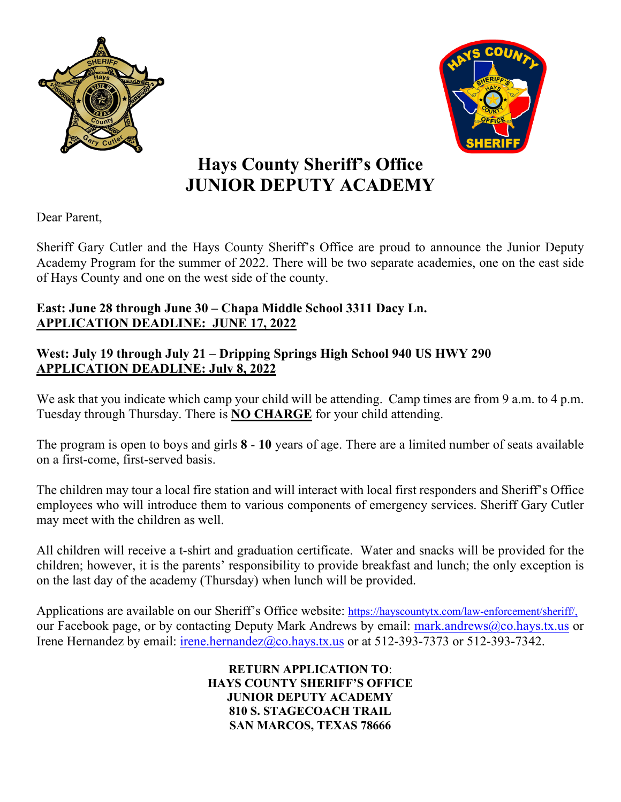



# **Hays County Sheriff's Office JUNIOR DEPUTY ACADEMY**

Dear Parent,

Sheriff Gary Cutler and the Hays County Sheriff's Office are proud to announce the Junior Deputy Academy Program for the summer of 2022. There will be two separate academies, one on the east side of Hays County and one on the west side of the county.

# **East: June 28 through June 30 – Chapa Middle School 3311 Dacy Ln. APPLICATION DEADLINE: JUNE 17, 2022**

## **West: July 19 through July 21 – Dripping Springs High School 940 US HWY 290 APPLICATION DEADLINE: July 8, 2022**

We ask that you indicate which camp your child will be attending. Camp times are from 9 a.m. to 4 p.m. Tuesday through Thursday. There is **NO CHARGE** for your child attending.

The program is open to boys and girls **8** - **10** years of age. There are a limited number of seats available on a first-come, first-served basis.

The children may tour a local fire station and will interact with local first responders and Sheriff's Office employees who will introduce them to various components of emergency services. Sheriff Gary Cutler may meet with the children as well.

All children will receive a t-shirt and graduation certificate. Water and snacks will be provided for the children; however, it is the parents' responsibility to provide breakfast and lunch; the only exception is on the last day of the academy (Thursday) when lunch will be provided.

Applications are available on our Sheriff's Office website: [https://hayscountytx.com/law-enforcement/sheriff/,](https://hayscountytx.com/law-enforcement/sheriff/) our Facebook page, or by contacting Deputy Mark Andrews by email: [mark.andrews@co.hays.tx.us](mailto:mark.andrews@co.hays.tx.us) or Irene Hernandez by email: [irene.hernandez@co.hays.tx.us](mailto:irene.hernandez@co.hays.tx.us) or at 512-393-7373 or 512-393-7342.

> **RETURN APPLICATION TO**: **HAYS COUNTY SHERIFF'S OFFICE JUNIOR DEPUTY ACADEMY 810 S. STAGECOACH TRAIL SAN MARCOS, TEXAS 78666**